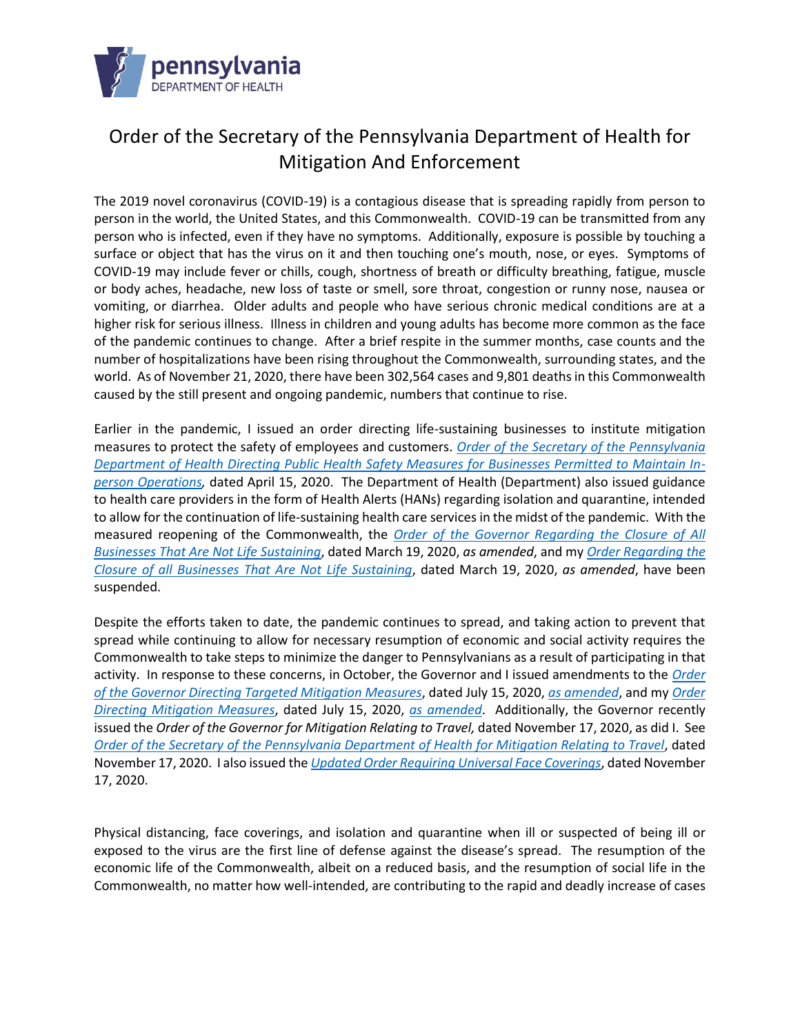

# Order of the Secretary of the Pennsylvania Department of Health for Mitigation And Enforcement

The 2019 novel coronavirus (COVID-19) is a contagious disease that is spreading rapidly from person to person in the world, the United States, and this Commonwealth. COVID-19 can be transmitted from any person who is infected, even if they have no symptoms. Additionally, exposure is possible by touching a surface or object that has the virus on it and then touching one's mouth, nose, or eyes. Symptoms of COVID-19 may include fever or chills, cough, shortness of breath or difficulty breathing, fatigue, muscle or body aches, headache, new loss of taste or smell, sore throat, congestion or runny nose, nausea or vomiting, or diarrhea. Older adults and people who have serious chronic medical conditions are at a higher risk for serious illness. Illness in children and young adults has become more common as the face of the pandemic continues to change. After a brief respite in the summer months, case counts and the number of hospitalizations have been rising throughout the Commonwealth, surrounding states, and the world. As of November 21, 2020, there have been 302,564 cases and 9,801 deaths in this Commonwealth caused by the still present and ongoing pandemic, numbers that continue to rise.

Earlier in the pandemic, I issued an order directing life-sustaining businesses to institute mitigation measures to protect the safety of employees and customers. *[Order of the Secretary of the Pennsylvania](https://www.health.pa.gov/topics/Documents/Diseases%20and%20Conditions/SOH%20COVID-19%20Worker%20Safety%20Order.pdf)  [Department of Health Directing Public Health Safety Measures for Businesses Permitted to Maintain In](https://www.health.pa.gov/topics/Documents/Diseases%20and%20Conditions/SOH%20COVID-19%20Worker%20Safety%20Order.pdf)[person Operations,](https://www.health.pa.gov/topics/Documents/Diseases%20and%20Conditions/SOH%20COVID-19%20Worker%20Safety%20Order.pdf)* dated April 15, 2020. The Department of Health (Department) also issued guidance to health care providers in the form of Health Alerts (HANs) regarding isolation and quarantine, intended to allow for the continuation of life-sustaining health care services in the midst of the pandemic. With the measured reopening of the Commonwealth, the *[Order of the Governor Regarding the Closure of All](https://www.scribd.com/document/452416027/20200319-TWW-COVID-19-Business-Closure-Order)  [Businesses That Are Not Life Sustaining](https://www.scribd.com/document/452416027/20200319-TWW-COVID-19-Business-Closure-Order)*, dated March 19, 2020, *as amended*, and my *[Order Regarding the](https://www.scribd.com/document/452409377/03-19-20-Soh-Covid-Order)  [Closure of all Businesses That Are Not Life Sustaining](https://www.scribd.com/document/452409377/03-19-20-Soh-Covid-Order)*, dated March 19, 2020, *as amended*, have been suspended.

Despite the efforts taken to date, the pandemic continues to spread, and taking action to prevent that spread while continuing to allow for necessary resumption of economic and social activity requires the Commonwealth to take steps to minimize the danger to Pennsylvanians as a result of participating in that activity. In response to these concerns, in October, the Governor and I issued amendments to the *[Order](https://www.governor.pa.gov/wp-content/uploads/2020/07/20200715-TWW-targeted-mitigation-order.pdf)  [of the Governor Directing Targeted Mitigation Measures](https://www.governor.pa.gov/wp-content/uploads/2020/07/20200715-TWW-targeted-mitigation-order.pdf)*, dated July 15, 2020, *[as amended](https://www.governor.pa.gov/wp-content/uploads/2020/10/20201006-TWW-amendment-to-targeted-mitigation-order.pdf)*, and my *[Order](https://www.governor.pa.gov/wp-content/uploads/2020/07/20200715-SOH-targeted-mitigation-order.pdf)  [Directing Mitigation Measures](https://www.governor.pa.gov/wp-content/uploads/2020/07/20200715-SOH-targeted-mitigation-order.pdf)*, dated July 15, 2020, *[as amended](https://www.governor.pa.gov/wp-content/uploads/2020/10/20201006-SOH-amendment-to-targeted-mitigation-order.pdf)*. Additionally, the Governor recently issued the *Order of the Governor for Mitigation Relating to Travel,* dated November 17, 2020, as did I. See *[Order of the Secretary of the Pennsylvania Department of Health for Mitigation Relating to Travel](https://www.governor.pa.gov/wp-content/uploads/2020/11/20201117-SOH-Travel-Mitigation-Order.pdf)*, dated November 17, 2020. I also issued the *[Updated Order Requiring Universal Face Coverings](https://www.governor.pa.gov/wp-content/uploads/2020/11/20201117-SOH-Universal-Face-Coverings-Order-Update.pdf)*, dated November 17, 2020.

Physical distancing, face coverings, and isolation and quarantine when ill or suspected of being ill or exposed to the virus are the first line of defense against the disease's spread. The resumption of the economic life of the Commonwealth, albeit on a reduced basis, and the resumption of social life in the Commonwealth, no matter how well-intended, are contributing to the rapid and deadly increase of cases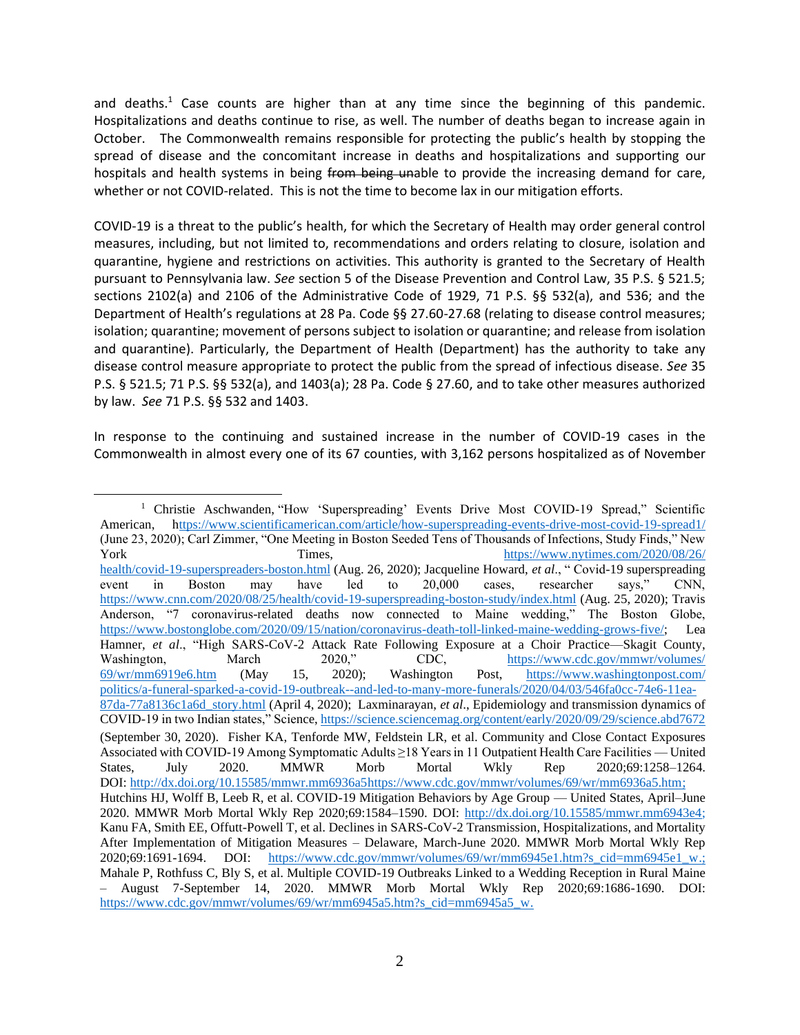and deaths.<sup>1</sup> Case counts are higher than at any time since the beginning of this pandemic. Hospitalizations and deaths continue to rise, as well. The number of deaths began to increase again in October. The Commonwealth remains responsible for protecting the public's health by stopping the spread of disease and the concomitant increase in deaths and hospitalizations and supporting our hospitals and health systems in being from being unable to provide the increasing demand for care, whether or not COVID-related. This is not the time to become lax in our mitigation efforts.

COVID-19 is a threat to the public's health, for which the Secretary of Health may order general control measures, including, but not limited to, recommendations and orders relating to closure, isolation and quarantine, hygiene and restrictions on activities. This authority is granted to the Secretary of Health pursuant to Pennsylvania law. *See* section 5 of the Disease Prevention and Control Law, 35 P.S. § 521.5; sections 2102(a) and 2106 of the Administrative Code of 1929, 71 P.S. §§ 532(a), and 536; and the Department of Health's regulations at 28 Pa. Code §§ 27.60-27.68 (relating to disease control measures; isolation; quarantine; movement of persons subject to isolation or quarantine; and release from isolation and quarantine). Particularly, the Department of Health (Department) has the authority to take any disease control measure appropriate to protect the public from the spread of infectious disease. *See* 35 P.S. § 521.5; 71 P.S. §§ 532(a), and 1403(a); 28 Pa. Code § 27.60, and to take other measures authorized by law. *See* 71 P.S. §§ 532 and 1403.

In response to the continuing and sustained increase in the number of COVID-19 cases in the Commonwealth in almost every one of its 67 counties, with 3,162 persons hospitalized as of November

<sup>&</sup>lt;sup>1</sup> Christie Aschwanden, "How 'Superspreading' Events Drive Most COVID-19 Spread," Scientific American, <https://www.scientificamerican.com/article/how-superspreading-events-drive-most-covid-19-spread1/> (June 23, 2020); Carl Zimmer, "One Meeting in Boston Seeded Tens of Thousands of Infections, Study Finds," New York Times, Times, [https://www.nytimes.com/2020/08/26/](https://www.nytimes.com/2020/08/26/health/covid-19-superspreaders-boston.html) [health/covid-19-superspreaders-boston.html](https://www.nytimes.com/2020/08/26/health/covid-19-superspreaders-boston.html) (Aug. 26, 2020); Jacqueline Howard, *et al*., " Covid-19 superspreading event in Boston may have led to 20,000 cases, researcher says," CNN, <https://www.cnn.com/2020/08/25/health/covid-19-superspreading-boston-study/index.html> (Aug. 25, 2020); Travis Anderson, "7 coronavirus-related deaths now connected to Maine wedding," The Boston Globe, [https://www.bostonglobe.com/2020/09/15/nation/coronavirus-death-toll-linked-maine-wedding-grows-five/;](https://www.bostonglobe.com/2020/09/15/nation/coronavirus-death-toll-linked-maine-wedding-grows-five/) Lea Hamner, *et al*., "High SARS-CoV-2 Attack Rate Following Exposure at a Choir Practice—Skagit County, Washington, March 2020," CDC, [https://www.cdc.gov/mmwr/volumes/](https://www.cdc.gov/mmwr/volumes/69/wr/mm6919e6.htm) [69/wr/mm6919e6.htm](https://www.cdc.gov/mmwr/volumes/69/wr/mm6919e6.htm) (May 15, 2020); Washington Post, [https://www.washingtonpost.com/](https://www.washingtonpost.com/politics/a-funeral-sparked-a-covid-19-outbreak--and-led-to-many-more-funerals/2020/04/03/546fa0cc-74e6-11ea-87da-77a8136c1a6d_story.html) [politics/a-funeral-sparked-a-covid-19-outbreak--and-led-to-many-more-funerals/2020/04/03/546fa0cc-74e6-11ea-](https://www.washingtonpost.com/politics/a-funeral-sparked-a-covid-19-outbreak--and-led-to-many-more-funerals/2020/04/03/546fa0cc-74e6-11ea-87da-77a8136c1a6d_story.html)[87da-77a8136c1a6d\\_story.html](https://www.washingtonpost.com/politics/a-funeral-sparked-a-covid-19-outbreak--and-led-to-many-more-funerals/2020/04/03/546fa0cc-74e6-11ea-87da-77a8136c1a6d_story.html) (April 4, 2020); Laxminarayan, *et al*., Epidemiology and transmission dynamics of COVID-19 in two Indian states," Science[, https://science.sciencemag.org/content/early/2020/09/29/science.abd7672](https://science.sciencemag.org/content/early/2020/09/29/science.abd7672) (September 30, 2020). Fisher KA, Tenforde MW, Feldstein LR, et al. Community and Close Contact Exposures Associated with COVID-19 Among Symptomatic Adults ≥18 Years in 11 Outpatient Health Care Facilities — United States, July 2020. MMWR Morb Mortal Wkly Rep 2020;69:1258–1264. DOI: <http://dx.doi.org/10.15585/mmwr.mm6936a5>[https://www.cdc.gov/mmwr/volumes/69/wr/mm6936a5.htm;](https://www.cdc.gov/mmwr/volumes/69/wr/mm6936a5.htm) Hutchins HJ, Wolff B, Leeb R, et al. COVID-19 Mitigation Behaviors by Age Group — United States, April–June 2020. MMWR Morb Mortal Wkly Rep 2020;69:1584–1590. DOI: [http://dx.doi.org/10.15585/mmwr.mm6943e4;](http://dx.doi.org/10.15585/mmwr.mm6943e4) Kanu FA, Smith EE, Offutt-Powell T, et al. Declines in SARS-CoV-2 Transmission, Hospitalizations, and Mortality After Implementation of Mitigation Measures – Delaware, March-June 2020. MMWR Morb Mortal Wkly Rep 2020;69:1691-1694. DOI: [https://www.cdc.gov/mmwr/volumes/69/wr/mm6945e1.htm?s\\_cid=mm6945e1\\_w.](https://www.cdc.gov/mmwr/volumes/69/wr/mm6945e1.htm?s_cid=mm6945e1_w); Mahale P, Rothfuss C, Bly S, et al. Multiple COVID-19 Outbreaks Linked to a Wedding Reception in Rural Maine – August 7-September 14, 2020. MMWR Morb Mortal Wkly Rep 2020;69:1686-1690. DOI: https://www.cdc.gov/mmwr/volumes/69/wr/mm6945a5.htm?s\_cid=mm6945a5\_w.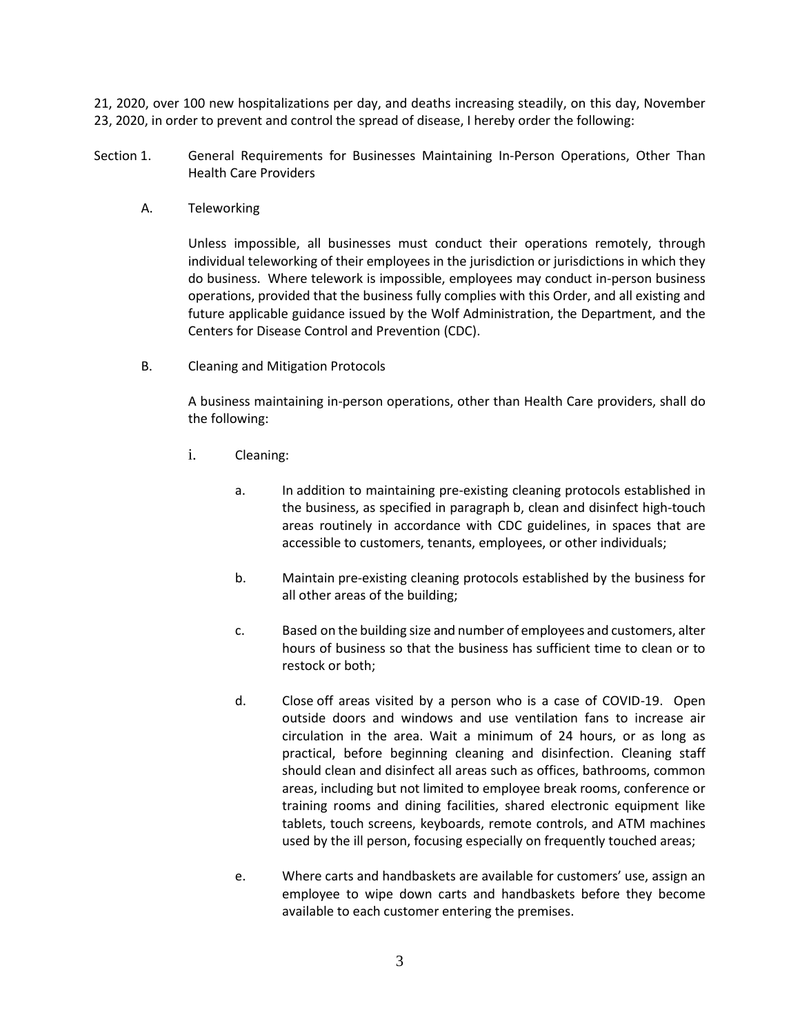21, 2020, over 100 new hospitalizations per day, and deaths increasing steadily, on this day, November 23, 2020, in order to prevent and control the spread of disease, I hereby order the following:

- Section 1. General Requirements for Businesses Maintaining In-Person Operations, Other Than Health Care Providers
	- A. Teleworking

Unless impossible, all businesses must conduct their operations remotely, through individual teleworking of their employees in the jurisdiction or jurisdictions in which they do business. Where telework is impossible, employees may conduct in-person business operations, provided that the business fully complies with this Order, and all existing and future applicable guidance issued by the Wolf Administration, the Department, and the Centers for Disease Control and Prevention (CDC).

B. Cleaning and Mitigation Protocols

A business maintaining in-person operations, other than Health Care providers, shall do the following:

- i. Cleaning:
	- a. In addition to maintaining pre-existing cleaning protocols established in the business, as specified in paragraph b, clean and disinfect high-touch areas routinely in accordance with CDC guidelines, in spaces that are accessible to customers, tenants, employees, or other individuals;
	- b. Maintain pre-existing cleaning protocols established by the business for all other areas of the building;
	- c. Based on the building size and number of employees and customers, alter hours of business so that the business has sufficient time to clean or to restock or both;
	- d. Close off areas visited by a person who is a case of COVID-19. Open outside doors and windows and use ventilation fans to increase air circulation in the area. Wait a minimum of 24 hours, or as long as practical, before beginning cleaning and disinfection. Cleaning staff should clean and disinfect all areas such as offices, bathrooms, common areas, including but not limited to employee break rooms, conference or training rooms and dining facilities, shared electronic equipment like tablets, touch screens, keyboards, remote controls, and ATM machines used by the ill person, focusing especially on frequently touched areas;
	- e. Where carts and handbaskets are available for customers' use, assign an employee to wipe down carts and handbaskets before they become available to each customer entering the premises.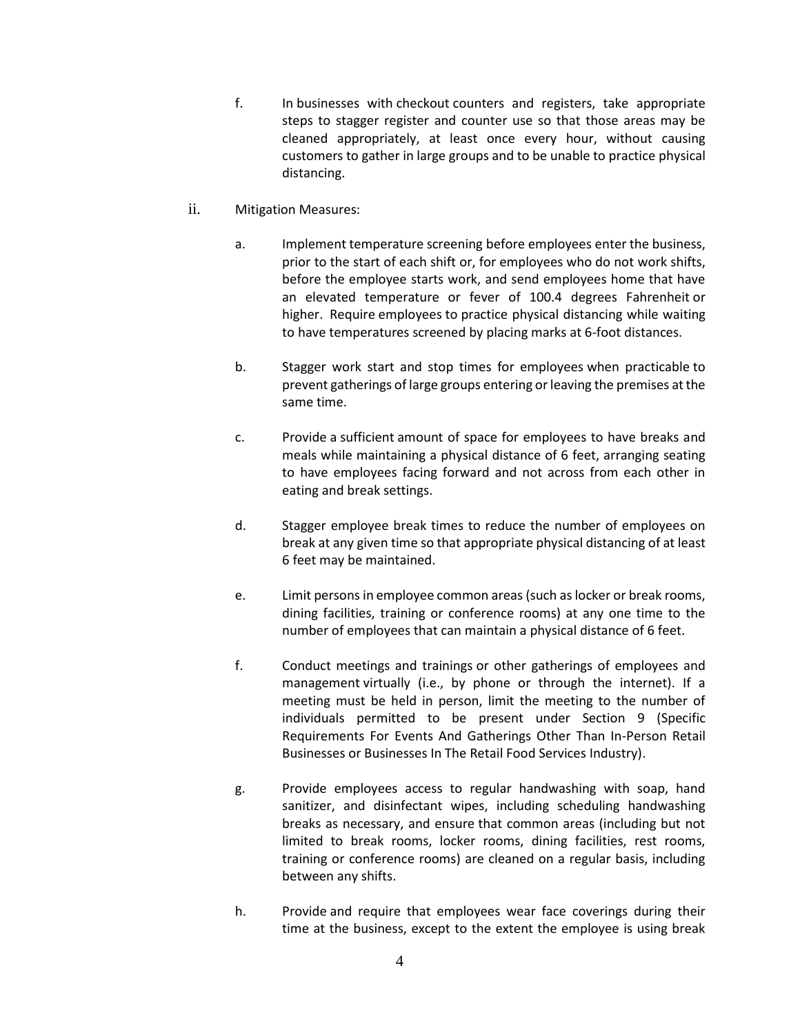- f. In businesses with checkout counters and registers, take appropriate steps to stagger register and counter use so that those areas may be cleaned appropriately, at least once every hour, without causing customers to gather in large groups and to be unable to practice physical distancing.
- ii. Mitigation Measures:
	- a. Implement temperature screening before employees enter the business, prior to the start of each shift or, for employees who do not work shifts, before the employee starts work, and send employees home that have an elevated temperature or fever of 100.4 degrees Fahrenheit or higher. Require employees to practice physical distancing while waiting to have temperatures screened by placing marks at 6-foot distances.
	- b. Stagger work start and stop times for employees when practicable to prevent gatherings of large groups entering or leaving the premises at the same time.
	- c. Provide a sufficient amount of space for employees to have breaks and meals while maintaining a physical distance of 6 feet, arranging seating to have employees facing forward and not across from each other in eating and break settings.
	- d. Stagger employee break times to reduce the number of employees on break at any given time so that appropriate physical distancing of at least 6 feet may be maintained.
	- e. Limit persons in employee common areas (such as locker or break rooms, dining facilities, training or conference rooms) at any one time to the number of employees that can maintain a physical distance of 6 feet.
	- f. Conduct meetings and trainings or other gatherings of employees and management virtually (i.e., by phone or through the internet). If a meeting must be held in person, limit the meeting to the number of individuals permitted to be present under Section 9 (Specific Requirements For Events And Gatherings Other Than In-Person Retail Businesses or Businesses In The Retail Food Services Industry).
	- g. Provide employees access to regular handwashing with soap, hand sanitizer, and disinfectant wipes, including scheduling handwashing breaks as necessary, and ensure that common areas (including but not limited to break rooms, locker rooms, dining facilities, rest rooms, training or conference rooms) are cleaned on a regular basis, including between any shifts.
	- h. Provide and require that employees wear face coverings during their time at the business, except to the extent the employee is using break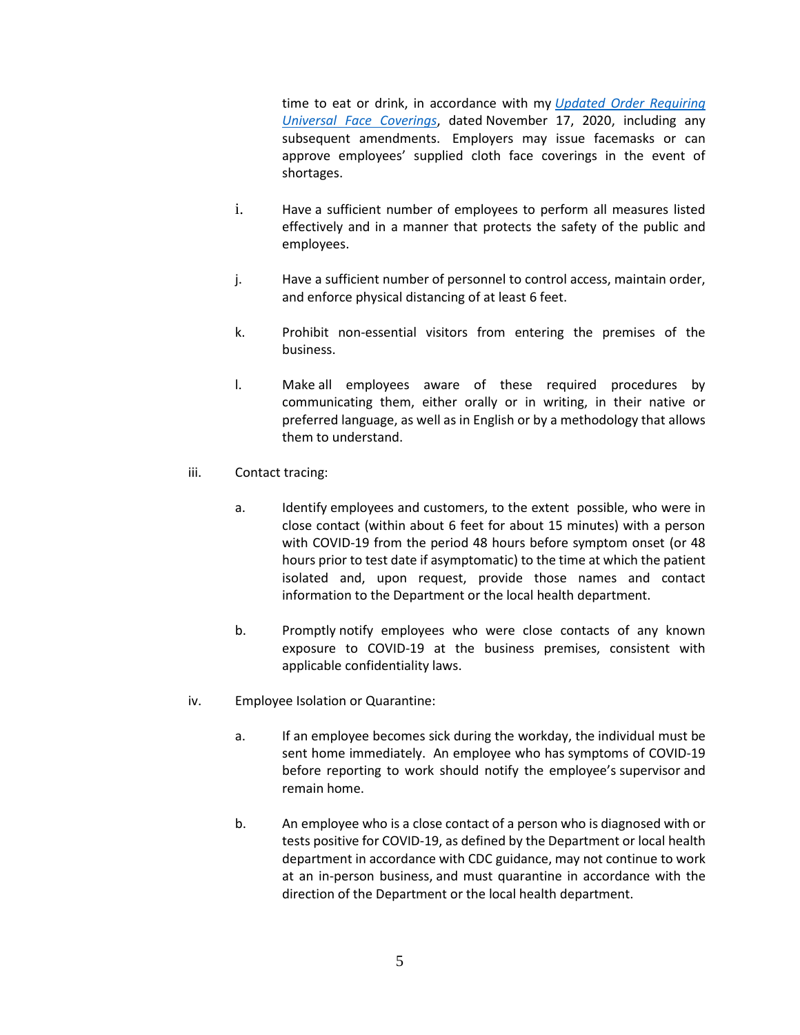time to eat or drink, in accordance with my *[Updated Order Requiring](https://www.health.pa.gov/topics/Documents/Diseases%20and%20Conditions/Updated%20Order%20of%20the%20Secretary%20Requiring%20Universal%20Face%20Coverings.pdf)  Universal [Face Coverings](https://www.health.pa.gov/topics/Documents/Diseases%20and%20Conditions/Updated%20Order%20of%20the%20Secretary%20Requiring%20Universal%20Face%20Coverings.pdf)*, dated November 17, 2020, including any subsequent amendments. Employers may issue facemasks or can approve employees' supplied cloth face coverings in the event of shortages.

- i. Have a sufficient number of employees to perform all measures listed effectively and in a manner that protects the safety of the public and employees.
- j. Have a sufficient number of personnel to control access, maintain order, and enforce physical distancing of at least 6 feet.
- k. Prohibit non-essential visitors from entering the premises of the business.
- l. Make all employees aware of these required procedures by communicating them, either orally or in writing, in their native or preferred language, as well as in English or by a methodology that allows them to understand.
- iii. Contact tracing:
	- a. Identify employees and customers, to the extent possible, who were in close contact (within about 6 feet for about 15 minutes) with a person with COVID-19 from the period 48 hours before symptom onset (or 48 hours prior to test date if asymptomatic) to the time at which the patient isolated and, upon request, provide those names and contact information to the Department or the local health department.
	- b. Promptly notify employees who were close contacts of any known exposure to COVID-19 at the business premises, consistent with applicable confidentiality laws.
- iv. Employee Isolation or Quarantine:
	- a. If an employee becomes sick during the workday, the individual must be sent home immediately. An employee who has symptoms of COVID-19 before reporting to work should notify the employee's supervisor and remain home.
	- b. An employee who is a close contact of a person who is diagnosed with or tests positive for COVID-19, as defined by the Department or local health department in accordance with CDC guidance, may not continue to work at an in-person business, and must quarantine in accordance with the direction of the Department or the local health department.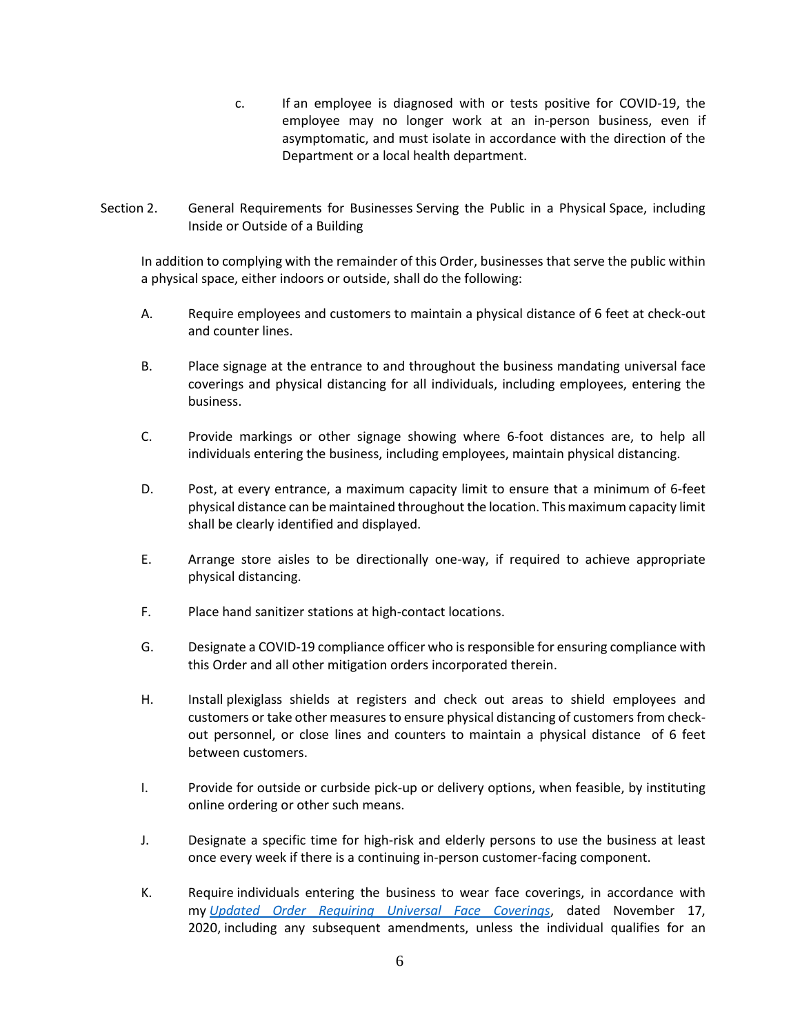- c. If an employee is diagnosed with or tests positive for COVID-19, the employee may no longer work at an in-person business, even if asymptomatic, and must isolate in accordance with the direction of the Department or a local health department.
- Section 2. General Requirements for Businesses Serving the Public in a Physical Space, including Inside or Outside of a Building

In addition to complying with the remainder of this Order, businesses that serve the public within a physical space, either indoors or outside, shall do the following:

- A. Require employees and customers to maintain a physical distance of 6 feet at check-out and counter lines.
- B. Place signage at the entrance to and throughout the business mandating universal face coverings and physical distancing for all individuals, including employees, entering the business.
- C. Provide markings or other signage showing where 6-foot distances are, to help all individuals entering the business, including employees, maintain physical distancing.
- D. Post, at every entrance, a maximum capacity limit to ensure that a minimum of 6-feet physical distance can be maintained throughout the location. This maximum capacity limit shall be clearly identified and displayed.
- E. Arrange store aisles to be directionally one-way, if required to achieve appropriate physical distancing.
- F. Place hand sanitizer stations at high-contact locations.
- G. Designate a COVID-19 compliance officer who is responsible for ensuring compliance with this Order and all other mitigation orders incorporated therein.
- H. Install plexiglass shields at registers and check out areas to shield employees and customers or take other measures to ensure physical distancing of customers from checkout personnel, or close lines and counters to maintain a physical distance of 6 feet between customers.
- I. Provide for outside or curbside pick-up or delivery options, when feasible, by instituting online ordering or other such means.
- J. Designate a specific time for high-risk and elderly persons to use the business at least once every week if there is a continuing in-person customer-facing component.
- K. Require individuals entering the business to wear face coverings, in accordance with my *[Updated Order Requiring Universal Face Coverings](https://www.health.pa.gov/topics/Documents/Diseases%20and%20Conditions/Updated%20Order%20of%20the%20Secretary%20Requiring%20Universal%20Face%20Coverings.pdf)*, dated November 17, 2020, including any subsequent amendments, unless the individual qualifies for an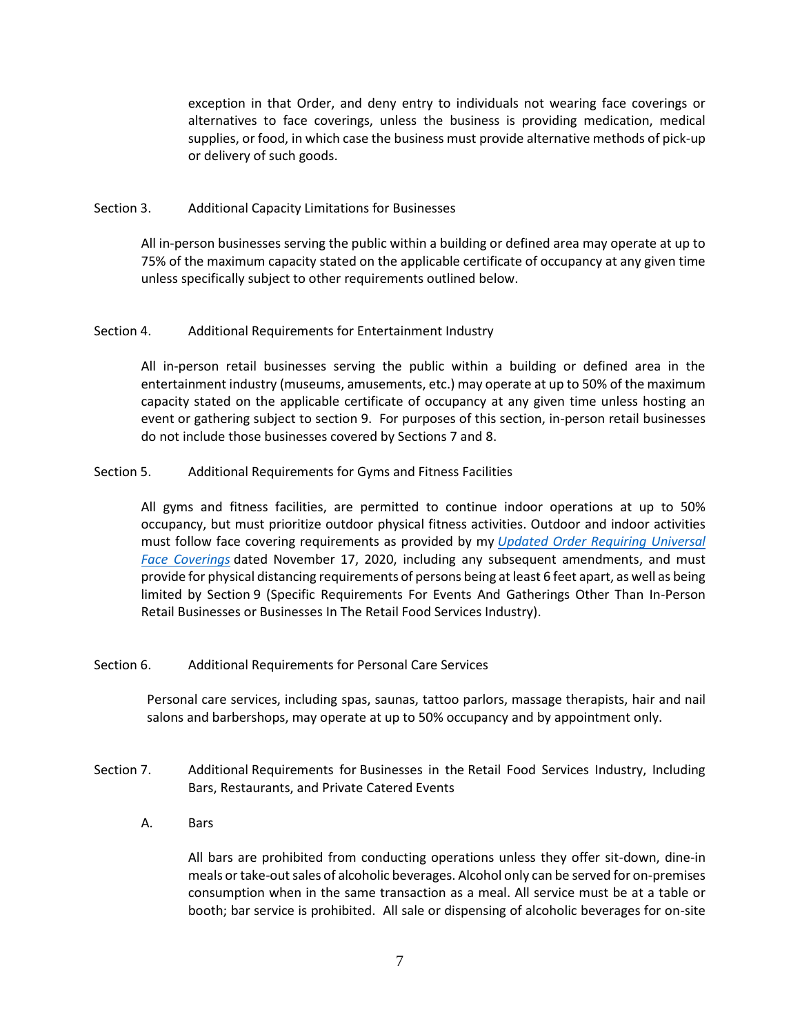exception in that Order, and deny entry to individuals not wearing face coverings or alternatives to face coverings, unless the business is providing medication, medical supplies, or food, in which case the business must provide alternative methods of pick-up or delivery of such goods.

## Section 3. Additional Capacity Limitations for Businesses

All in-person businesses serving the public within a building or defined area may operate at up to 75% of the maximum capacity stated on the applicable certificate of occupancy at any given time unless specifically subject to other requirements outlined below.

# Section 4. Additional Requirements for Entertainment Industry

All in-person retail businesses serving the public within a building or defined area in the entertainment industry (museums, amusements, etc.) may operate at up to 50% of the maximum capacity stated on the applicable certificate of occupancy at any given time unless hosting an event or gathering subject to section 9. For purposes of this section, in-person retail businesses do not include those businesses covered by Sections 7 and 8.

## Section 5. Additional Requirements for Gyms and Fitness Facilities

All gyms and fitness facilities, are permitted to continue indoor operations at up to 50% occupancy, but must prioritize outdoor physical fitness activities. Outdoor and indoor activities must follow face covering requirements as provided by my *[Updated Order Requiring Universal](https://www.health.pa.gov/topics/Documents/Diseases%20and%20Conditions/Updated%20Order%20of%20the%20Secretary%20Requiring%20Universal%20Face%20Coverings.pdf)  [Face Coverings](https://www.health.pa.gov/topics/Documents/Diseases%20and%20Conditions/Updated%20Order%20of%20the%20Secretary%20Requiring%20Universal%20Face%20Coverings.pdf)* dated November 17, 2020, including any subsequent amendments, and must provide for physical distancing requirements of persons being at least 6 feet apart, as well as being limited by Section 9 (Specific Requirements For Events And Gatherings Other Than In-Person Retail Businesses or Businesses In The Retail Food Services Industry).

#### Section 6. Additional Requirements for Personal Care Services

Personal care services, including spas, saunas, tattoo parlors, massage therapists, hair and nail salons and barbershops, may operate at up to 50% occupancy and by appointment only.

- Section 7. Additional Requirements for Businesses in the Retail Food Services Industry, Including Bars, Restaurants, and Private Catered Events
	- A. Bars

All bars are prohibited from conducting operations unless they offer sit-down, dine-in meals or take-out sales of alcoholic beverages. Alcohol only can be served for on-premises consumption when in the same transaction as a meal. All service must be at a table or booth; bar service is prohibited. All sale or dispensing of alcoholic beverages for on-site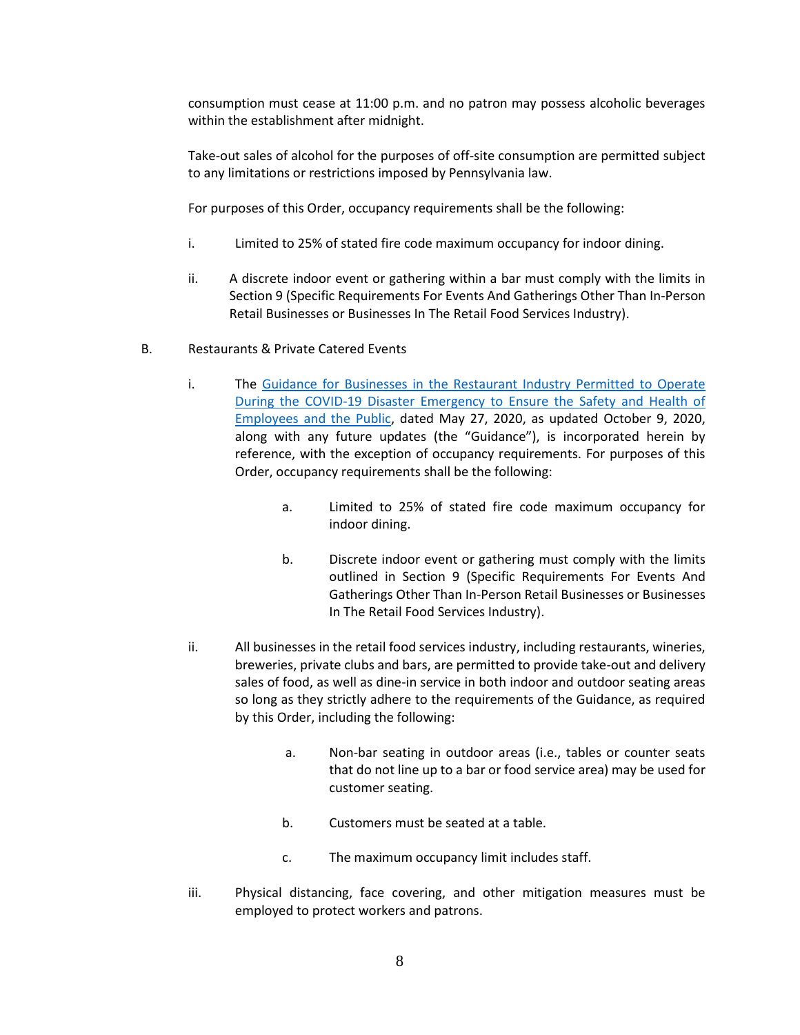consumption must cease at 11:00 p.m. and no patron may possess alcoholic beverages within the establishment after midnight.

Take-out sales of alcohol for the purposes of off-site consumption are permitted subject to any limitations or restrictions imposed by Pennsylvania law.

For purposes of this Order, occupancy requirements shall be the following:

- i. Limited to 25% of stated fire code maximum occupancy for indoor dining.
- ii. A discrete indoor event or gathering within a bar must comply with the limits in Section 9 (Specific Requirements For Events And Gatherings Other Than In-Person Retail Businesses or Businesses In The Retail Food Services Industry).
- B. Restaurants & Private Catered Events
	- i. The [Guidance for Businesses in the Restaurant Industry Permitted to Operate](https://www.governor.pa.gov/covid-19/restaurant-industry-guidance/)  [During the COVID-19 Disaster Emergency to Ensure the Safety and Health of](https://www.governor.pa.gov/covid-19/restaurant-industry-guidance/)  [Employees and the Public,](https://www.governor.pa.gov/covid-19/restaurant-industry-guidance/) dated May 27, 2020, as updated October 9, 2020, along with any future updates (the "Guidance"), is incorporated herein by reference, with the exception of occupancy requirements. For purposes of this Order, occupancy requirements shall be the following:
		- a. Limited to 25% of stated fire code maximum occupancy for indoor dining.
		- b. Discrete indoor event or gathering must comply with the limits outlined in Section 9 (Specific Requirements For Events And Gatherings Other Than In-Person Retail Businesses or Businesses In The Retail Food Services Industry).
	- ii. All businesses in the retail food services industry, including restaurants, wineries, breweries, private clubs and bars, are permitted to provide take-out and delivery sales of food, as well as dine-in service in both indoor and outdoor seating areas so long as they strictly adhere to the requirements of the Guidance, as required by this Order, including the following:
		- a. Non-bar seating in outdoor areas (i.e., tables or counter seats that do not line up to a bar or food service area) may be used for customer seating.
		- b. Customers must be seated at a table.
		- c. The maximum occupancy limit includes staff.
	- iii. Physical distancing, face covering, and other mitigation measures must be employed to protect workers and patrons.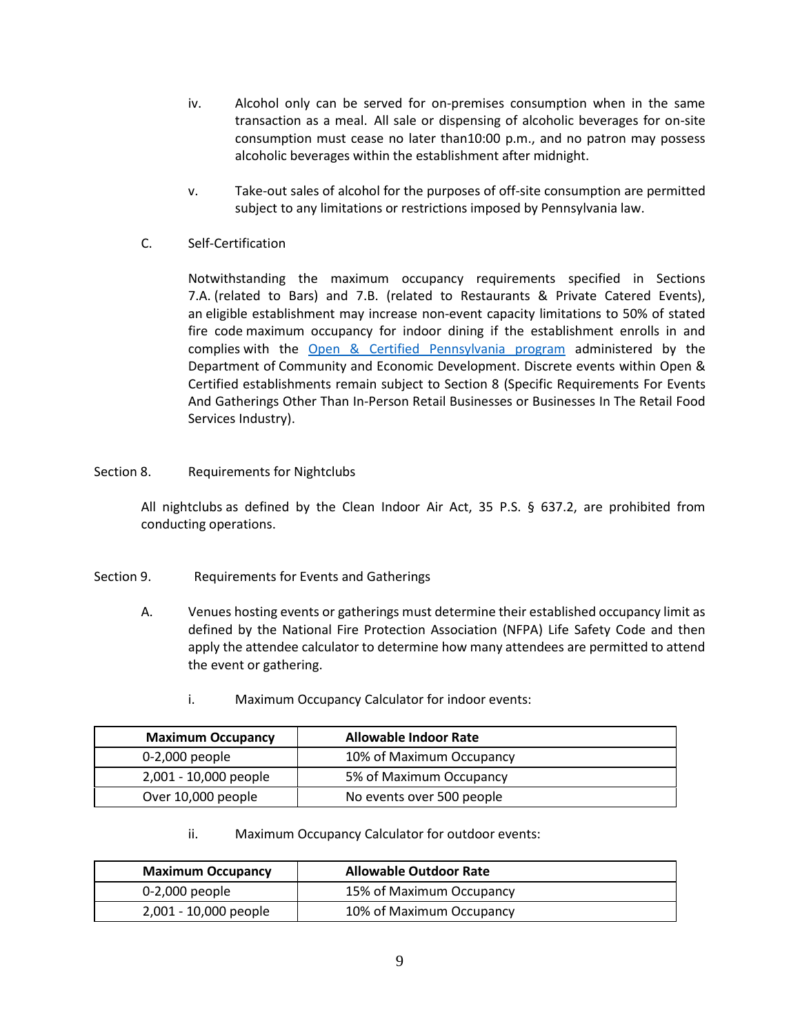- iv. Alcohol only can be served for on-premises consumption when in the same transaction as a meal. All sale or dispensing of alcoholic beverages for on-site consumption must cease no later than10:00 p.m., and no patron may possess alcoholic beverages within the establishment after midnight.
- v. Take-out sales of alcohol for the purposes of off-site consumption are permitted subject to any limitations or restrictions imposed by Pennsylvania law.
- C. Self-Certification

Notwithstanding the maximum occupancy requirements specified in Sections 7.A. (related to Bars) and 7.B. (related to Restaurants & Private Catered Events), an eligible establishment may increase non-event capacity limitations to 50% of stated fire code maximum occupancy for indoor dining if the establishment enrolls in and complies with the [Open & Certified Pennsylvania program](https://www.pa.gov/covid/business-unites/certify-my-restaurant/) administered by the Department of Community and Economic Development. Discrete events within Open & Certified establishments remain subject to Section 8 (Specific Requirements For Events And Gatherings Other Than In-Person Retail Businesses or Businesses In The Retail Food Services Industry).

Section 8. Requirements for Nightclubs

All nightclubs as defined by the Clean Indoor Air Act, 35 P.S. § 637.2, are prohibited from conducting operations.

- Section 9. Requirements for Events and Gatherings
	- A. Venues hosting events or gatherings must determine their established occupancy limit as defined by the National Fire Protection Association (NFPA) Life Safety Code and then apply the attendee calculator to determine how many attendees are permitted to attend the event or gathering.
		- i. Maximum Occupancy Calculator for indoor events:

| <b>Maximum Occupancy</b> | <b>Allowable Indoor Rate</b> |
|--------------------------|------------------------------|
| 0-2,000 people           | 10% of Maximum Occupancy     |
| 2,001 - 10,000 people    | 5% of Maximum Occupancy      |
| Over 10,000 people       | No events over 500 people    |

ii. Maximum Occupancy Calculator for outdoor events:

| <b>Maximum Occupancy</b> | <b>Allowable Outdoor Rate</b> |
|--------------------------|-------------------------------|
| 0-2,000 people           | 15% of Maximum Occupancy      |
| 2,001 - 10,000 people    | 10% of Maximum Occupancy      |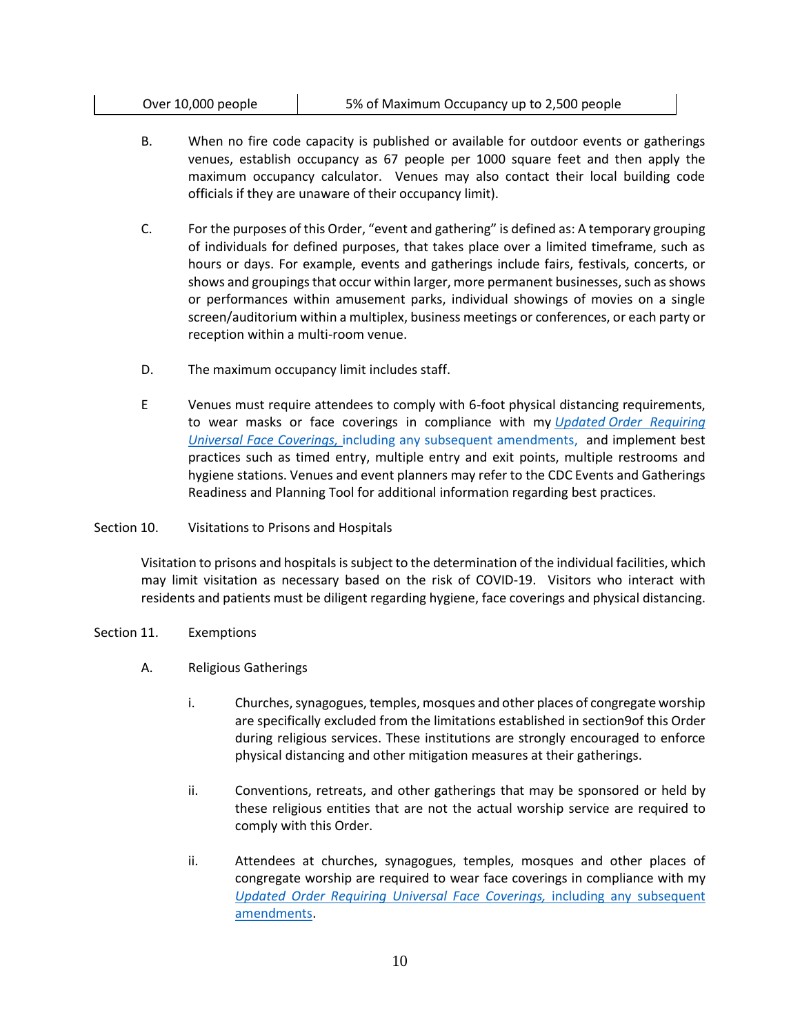| Over 10,000 people | 5% of Maximum Occupancy up to 2,500 people |
|--------------------|--------------------------------------------|
|--------------------|--------------------------------------------|

- B. When no fire code capacity is published or available for outdoor events or gatherings venues, establish occupancy as 67 people per 1000 square feet and then apply the maximum occupancy calculator. Venues may also contact their local building code officials if they are unaware of their occupancy limit).
- C. For the purposes of this Order, "event and gathering" is defined as: A temporary grouping of individuals for defined purposes, that takes place over a limited timeframe, such as hours or days. For example, events and gatherings include fairs, festivals, concerts, or shows and groupings that occur within larger, more permanent businesses, such as shows or performances within amusement parks, individual showings of movies on a single screen/auditorium within a multiplex, business meetings or conferences, or each party or reception within a multi-room venue.
- D. The maximum occupancy limit includes staff.
- E Venues must require attendees to comply with 6-foot physical distancing requirements, to wear masks or face coverings in compliance with my *Updated Order [Requiring](https://www.health.pa.gov/topics/Documents/Diseases%20and%20Conditions/Updated%20Order%20of%20the%20Secretary%20Requiring%20Universal%20Face%20Coverings.pdf)  [Universal Face Coverings,](https://www.health.pa.gov/topics/Documents/Diseases%20and%20Conditions/Updated%20Order%20of%20the%20Secretary%20Requiring%20Universal%20Face%20Coverings.pdf)* including any subsequent amendments, and implement best practices such as timed entry, multiple entry and exit points, multiple restrooms and hygiene stations. Venues and event planners may refer to the CDC Events and Gatherings Readiness and Planning Tool for additional information regarding best practices.
- Section 10. Visitations to Prisons and Hospitals

Visitation to prisons and hospitals is subject to the determination of the individual facilities, which may limit visitation as necessary based on the risk of COVID-19. Visitors who interact with residents and patients must be diligent regarding hygiene, face coverings and physical distancing.

- Section 11. Exemptions
	- A. Religious Gatherings
		- i. Churches, synagogues, temples, mosques and other places of congregate worship are specifically excluded from the limitations established in section9of this Order during religious services. These institutions are strongly encouraged to enforce physical distancing and other mitigation measures at their gatherings.
		- ii. Conventions, retreats, and other gatherings that may be sponsored or held by these religious entities that are not the actual worship service are required to comply with this Order.
		- ii. Attendees at churches, synagogues, temples, mosques and other places of congregate worship are required to wear face coverings in compliance with my *[Updated Order Requiring Universal Face Coverings,](https://www.health.pa.gov/topics/Documents/Diseases%20and%20Conditions/Updated%20Order%20of%20the%20Secretary%20Requiring%20Universal%20Face%20Coverings.pdf)* including any subsequent amendments.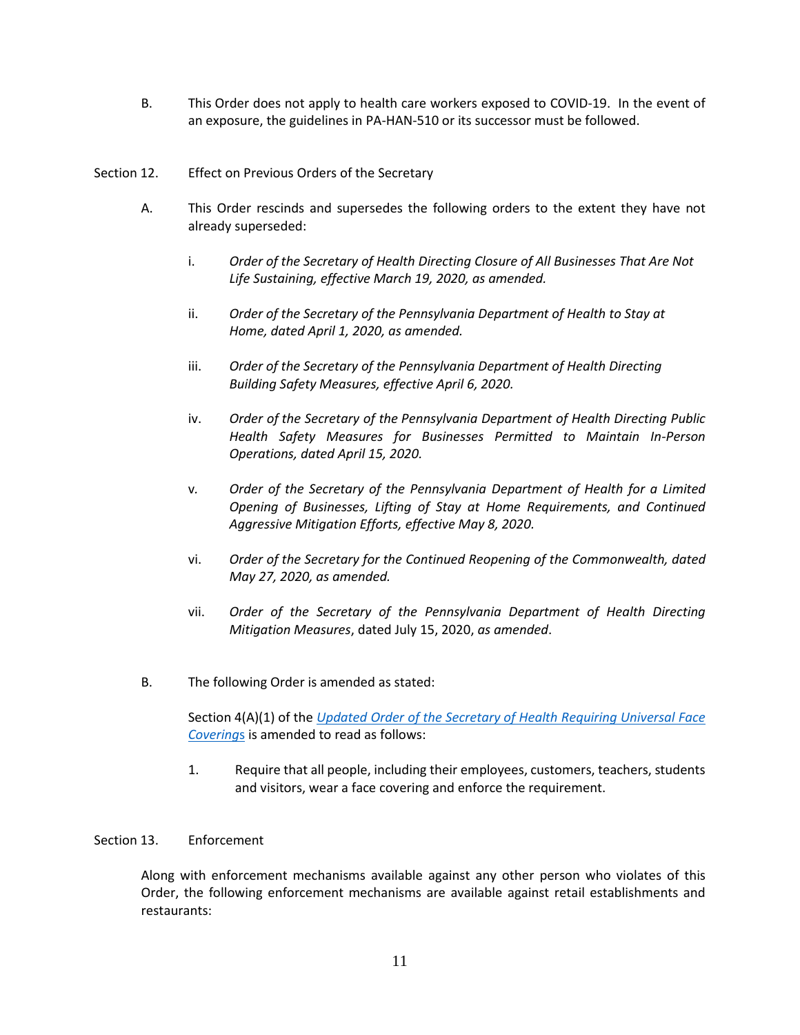- B. This Order does not apply to health care workers exposed to COVID-19. In the event of an exposure, the guidelines in PA-HAN-510 or its successor must be followed.
- Section 12. Effect on Previous Orders of the Secretary
	- A. This Order rescinds and supersedes the following orders to the extent they have not already superseded:
		- i. *Order of the Secretary of Health Directing Closure of All Businesses That Are Not Life Sustaining, effective March 19, 2020, as amended.*
		- ii. *Order of the Secretary of the Pennsylvania Department of Health to Stay at Home, dated April 1, 2020, as amended.*
		- iii. *Order of the Secretary of the Pennsylvania Department of Health Directing Building Safety Measures, effective April 6, 2020.*
		- iv. *Order of the Secretary of the Pennsylvania Department of Health Directing Public Health Safety Measures for Businesses Permitted to Maintain In-Person Operations, dated April 15, 2020.*
		- v*. Order of the Secretary of the Pennsylvania Department of Health for a Limited Opening of Businesses, Lifting of Stay at Home Requirements, and Continued Aggressive Mitigation Efforts, effective May 8, 2020.*
		- vi. *Order of the Secretary for the Continued Reopening of the Commonwealth, dated May 27, 2020, as amended.*
		- vii. *Order of the Secretary of the Pennsylvania Department of Health Directing Mitigation Measures*, dated July 15, 2020, *as amended*.
	- B. The following Order is amended as stated:

Section 4(A)(1) of the *[Updated Order of the Secretary of Health Requiring Universal Face](https://www.health.pa.gov/topics/Documents/Diseases%20and%20Conditions/Updated%20Order%20of%20the%20Secretary%20Requiring%20Universal%20Face%20Coverings.pdf)  [Covering](https://www.health.pa.gov/topics/Documents/Diseases%20and%20Conditions/Updated%20Order%20of%20the%20Secretary%20Requiring%20Universal%20Face%20Coverings.pdf)*s is amended to read as follows:

1. Require that all people, including their employees, customers, teachers, students and visitors, wear a face covering and enforce the requirement.

#### Section 13. Enforcement

Along with enforcement mechanisms available against any other person who violates of this Order, the following enforcement mechanisms are available against retail establishments and restaurants: